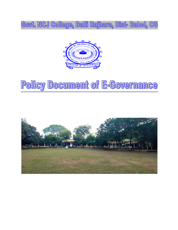Govt. NCJ College, Dalli Rajhara, Dist-Balod, CG



# Policy Document of E-Governance

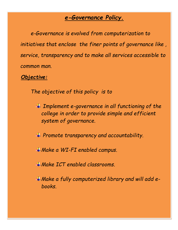## *e-Governance Policy.*

*e-Governance is evolved from computerization to initiatives that enclose the finer points of governance like , service, transparency and to make all services accessible to common man.*

 *Objective:*

*The objective of this policy is to* 

*Implement e-governance in all functioning of the college in order to provide simple and efficient system of governance.* 

*Promote transparency and accountability.* 

*Make a WI-FI enabled campus.*

*Make ICT enabled classrooms.*

*Make a fully computerized library and will add ebooks.*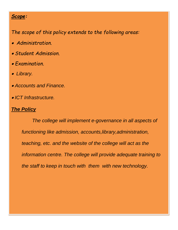#### *Scope:*

*The scope of this policy extends to the following areas:*

- *Administration.*
- *Student Admission.*
- *Examination.*
- *Library.*
- *Accounts and Finance.*
- *ICT Infrastructure.*

### *The Policy*

*The college will implement e-governance in all aspects of functioning like admission, accounts,library,administration, teaching, etc. and the website of the college will act as the information centre. The college will provide adequate training to the staff to keep in touch with them with new technology.*